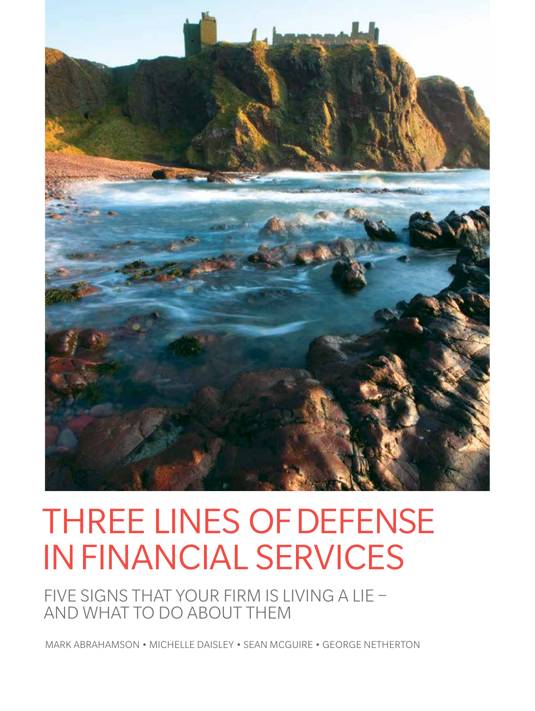

## THREE LINES OF DEFENSE IN FINANCIAL SERVICES

 FIVE SIGNS THAT YOUR FIRM IS LIVING A LIE – AND WHAT TO DO ABOUT THEM

MARK ABRAHAMSON • MICHELLE DAISLEY • SEAN MCGUIRE • GEORGE NETHERTON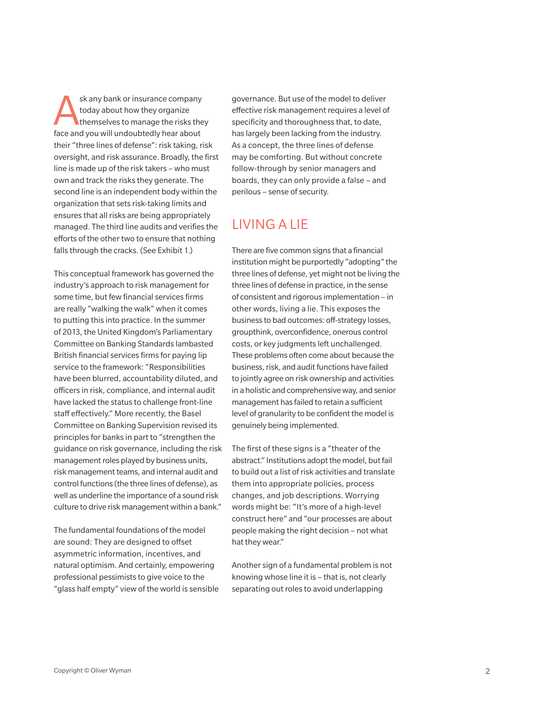sk any bank or insurance company today about how they organize themselves to manage the risks they face and you will undoubtedly hear about their "three lines of defense": risk taking, risk oversight, and risk assurance. Broadly, the first line is made up of the risk takers – who must own and track the risks they generate. The second line is an independent body within the organization that sets risk-taking limits and ensures that all risks are being appropriately managed. The third line audits and verifies the efforts of the other two to ensure that nothing falls through the cracks. (See Exhibit 1.)

This conceptual framework has governed the industry's approach to risk management for some time, but few financial services firms are really "walking the walk" when it comes to putting this into practice. In the summer of 2013, the United Kingdom's Parliamentary Committee on Banking Standards lambasted British financial services firms for paying lip service to the framework: "Responsibilities have been blurred, accountability diluted, and officers in risk, compliance, and internal audit have lacked the status to challenge front-line staff effectively." More recently, the Basel Committee on Banking Supervision revised its principles for banks in part to "strengthen the guidance on risk governance, including the risk management roles played by business units, risk management teams, and internal audit and control functions (the three lines of defense), as well as underline the importance of a sound risk culture to drive risk management within a bank."

The fundamental foundations of the model are sound: They are designed to offset asymmetric information, incentives, and natural optimism. And certainly, empowering professional pessimists to give voice to the "glass half empty" view of the world is sensible governance. But use of the model to deliver effective risk management requires a level of specificity and thoroughness that, to date, has largely been lacking from the industry. As a concept, the three lines of defense may be comforting. But without concrete follow-through by senior managers and boards, they can only provide a false – and perilous – sense of security.

## LIVING A LIE

There are five common signs that a financial institution might be purportedly "adopting" the three lines of defense, yet might not be living the three lines of defense in practice, in the sense of consistent and rigorous implementation – in other words, living a lie. This exposes the business to bad outcomes: off-strategy losses, groupthink, overconfidence, onerous control costs, or key judgments left unchallenged. These problems often come about because the business, risk, and audit functions have failed to jointly agree on risk ownership and activities in a holistic and comprehensive way, and senior management has failed to retain a sufficient level of granularity to be confident the model is genuinely being implemented.

The first of these signs is a "theater of the abstract." Institutions adopt the model, but fail to build out a list of risk activities and translate them into appropriate policies, process changes, and job descriptions. Worrying words might be: "It's more of a high-level construct here" and "our processes are about people making the right decision – not what hat they wear."

Another sign of a fundamental problem is not knowing whose line it is – that is, not clearly separating out roles to avoid underlapping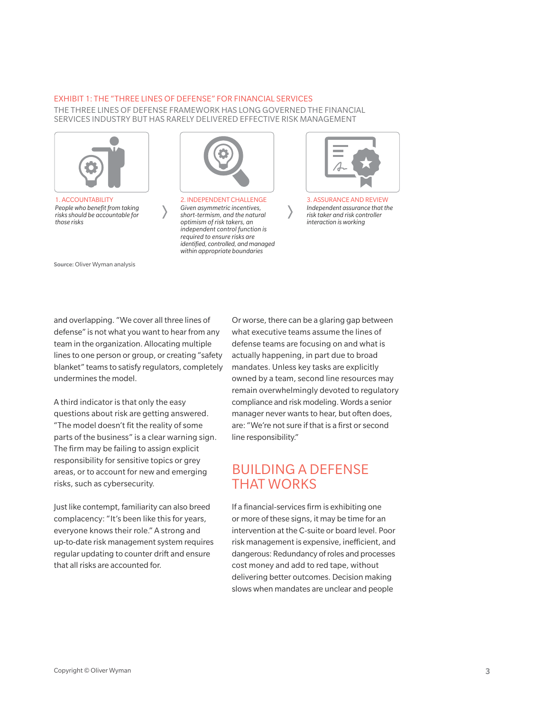## Exhibit 1: THE "THREE LINES OF DEFENSE" FOR FINANCIAL SERVICES

THE THREE LINES OF DEFENSE FRAMEWORK HAS LONG GOVERNED THE FINANCIAL SERVICES INDUSTRY BUT HAS RARELY DELIVERED EFFECTIVE RISK MANAGEMENT



1. ACCOUNTABILITY *People who benefit from taking risks should be accountable for those risks*

Source: Oliver Wyman analysis



2. INDEPENDENT CHALLENGE *Given asymmetric incentives, short-termism, and the natural optimism of risk takers, an independent control function is required to ensure risks are identified, controlled, and managed within appropriate boundaries*



3. ASSURANCE AND REVIEW *Independent assurance that the risk taker and risk controller interaction is working*

and overlapping. "We cover all three lines of defense" is not what you want to hear from any team in the organization. Allocating multiple lines to one person or group, or creating "safety blanket" teams to satisfy regulators, completely undermines the model.

A third indicator is that only the easy questions about risk are getting answered. "The model doesn't fit the reality of some parts of the business" is a clear warning sign. The firm may be failing to assign explicit responsibility for sensitive topics or grey areas, or to account for new and emerging risks, such as cybersecurity.

Just like contempt, familiarity can also breed complacency: "It's been like this for years, everyone knows their role." A strong and up-to-date risk management system requires regular updating to counter drift and ensure that all risks are accounted for.

Or worse, there can be a glaring gap between what executive teams assume the lines of defense teams are focusing on and what is actually happening, in part due to broad mandates. Unless key tasks are explicitly owned by a team, second line resources may remain overwhelmingly devoted to regulatory compliance and risk modeling. Words a senior manager never wants to hear, but often does, are: "We're not sure if that is a first or second line responsibility."

## BUILDING A DEFENSE THAT WORKS

If a financial-services firm is exhibiting one or more of these signs, it may be time for an intervention at the C-suite or board level. Poor risk management is expensive, inefficient, and dangerous: Redundancy of roles and processes cost money and add to red tape, without delivering better outcomes. Decision making slows when mandates are unclear and people